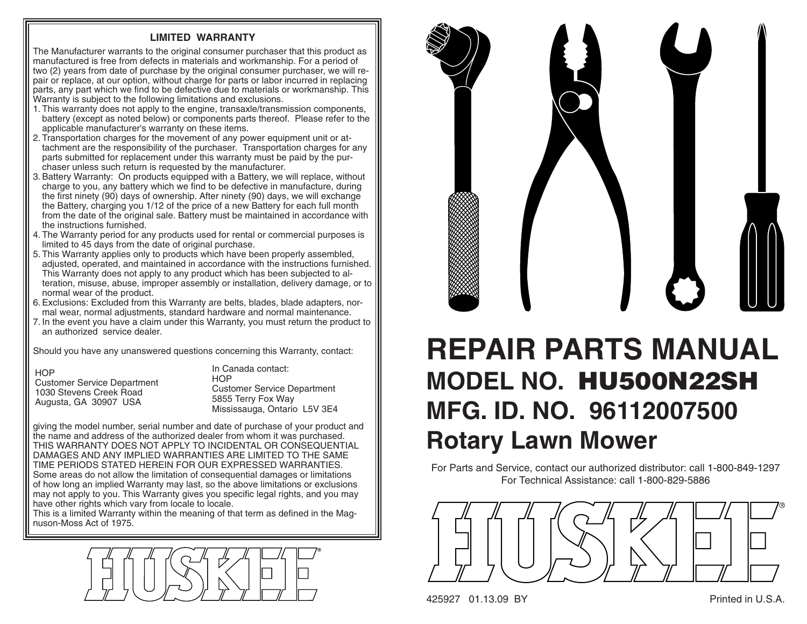## **LIMITED WARRANTY**

The Manufacturer warrants to the original consumer purchaser that this product as manufactured is free from defects in materials and workmanship. For a period of two (2) years from date of purchase by the original consumer purchaser, we will repair or replace, at our option, without charge for parts or labor incurred in replacing parts, any part which we find to be defective due to materials or work manship. This Warranty is subject to the following limitations and exclusions.

- 1. This warranty does not apply to the engine, transaxle/transmission components, battery (except as noted below) or components parts thereof. Please refer to the applicable manufacturer's warranty on these items.
- 2. Transportation charges for the movement of any power equipment unit or attach ment are the responsibility of the purchaser. Transportation charges for any parts submitted for replacement under this warranty must be paid by the purchaser unless such return is requested by the manufacturer.
- 3. Battery Warranty: On products equipped with a Battery, we will replace, without charge to you, any battery which we find to be defective in manufacture, during the first ninety (90) days of ownership. After ninety (90) days, we will exchange the Battery, charging you 1/12 of the price of a new Battery for each full month from the date of the original sale. Battery must be maintained in accordance with the instructions furnished.
- 4. The Warranty period for any products used for rental or commercial purposes is limited to 45 days from the date of original purchase.
- 5. This Warranty applies only to products which have been properly assembled, adjusted, operated, and maintained in accordance with the instructions furnished. This Warranty does not apply to any product which has been subjected to alter ation, misuse, abuse, improper assembly or installation, delivery damage, or to normal wear of the product.
- 6. Exclusions: Excluded from this Warranty are belts, blades, blade adapters, normal wear, normal adjustments, standard hardware and normal maintenance.
- 7. In the event you have a claim under this Warranty, you must return the product to an authorized service dealer.

Should you have any unanswered questions concerning this Warranty, contact:

**HOP** 

 Customer Service Department 1030 Stevens Creek RoadAugusta, GA 30907 USA

In Canada contact:**HOP**  Customer Service Department 5855 Terry Fox Way Mississauga, Ontario L5V 3E4

giving the model number, serial number and date of purchase of your product and the name and address of the authorized dealer from whom it was purchased. THIS WARRANTY DOES NOT APPLY TO INCIDENTAL OR CONSEQUENTIAL DAMAGES AND ANY IMPLIED WARRANTIES ARE LIMITED TO THE SAME TIME PERIODS STATED HEREIN FOR OUR EXPRESSED WARRANTIES. Some areas do not allow the limitation of consequential damages or limitations of how long an implied Warranty may last, so the above limitations or exclusions may not apply to you. This Warranty gives you specific legal rights, and you may have other rights which vary from locale to locale.

This is a limited Warranty within the meaning of that term as defined in the Magnuson-Moss Act of 1975.





## **REPAIR PARTS MANUALMODEL NO. HU500N22SH MFG. ID. NO. 96112007500Rotary Lawn Mower**

For Parts and Service, contact our authorized distributor: call 1-800-849-1297 For Technical Assistance: call 1-800-829-5886



425927 01.13.09 BY Printed in U.S.A.